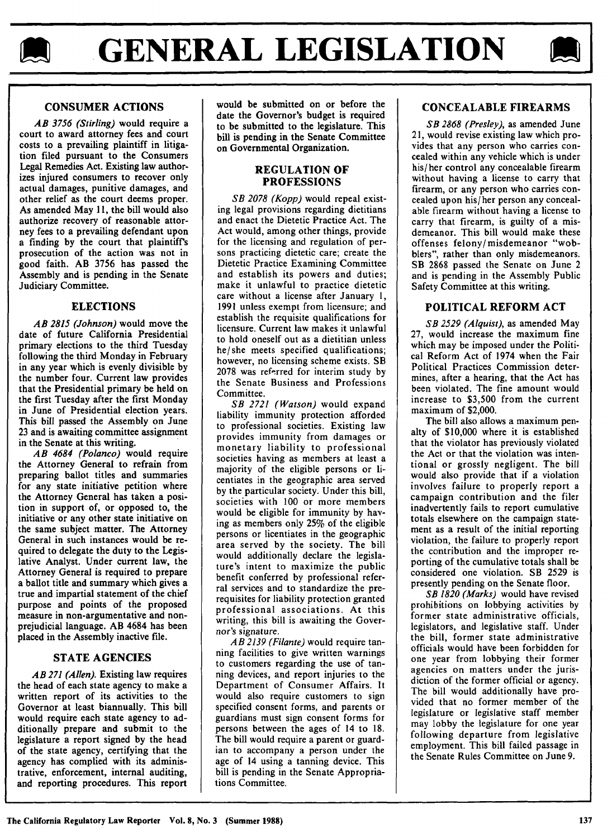



# **CONSUMER ACTIONS**

*AB 3756 (Stirling)* would require a court to award attorney fees and court costs to a prevailing plaintiff in litigation filed pursuant to the Consumers Legal Remedies Act. Existing law authorizes injured consumers to recover only actual damages, punitive damages, and other relief as the court deems proper. As amended May 11, the bill would also authorize recovery of reasonable attorney fees to a prevailing defendant upon a finding by the court that plaintiff's prosecution of the action was not in good faith. AB 3756 has passed the Assembly and is pending in the Senate Judiciary Committee.

## ELECTIONS

*AB 2815 (Johnson)* would move the date of future California Presidential primary elections to the third Tuesday following the third Monday in February in any year which is evenly divisible by the number four. Current law provides that the Presidential primary be held on the first Tuesday after the first Monday in June of Presidential election years. This bill passed the Assembly on June 23 and is awaiting committee assignment in the Senate at this writing.

*AB 4684 (Polanco)* would require the Attorney General to refrain from preparing ballot titles and summaries for any state initiative petition where the Attorney General has taken a position in support of, or opposed to, the initiative or any other state initiative on the same subject matter. The Attorney General in such instances would be required to delegate the duty to the Legislative Analyst. Under current law, the Attorney General is required to prepare a ballot title and summary which gives a true and impartial statement of the chief purpose and points of the proposed measure in non-argumentative and nonprejudicial language. AB 4684 has been placed in the Assembly inactive file.

### **STATE AGENCIES**

*AB 271 (Allen).* Existing law requires the head of each state agency to make a written report of its activities to the Governor at least biannually. This bill would require each state agency to additionally prepare and submit to the legislature a report signed **by** the head of the state agency, certifying that the agency has complied with its administrative, enforcement, internal auditing, and reporting procedures. This report

would be submitted on or before the date the Governor's budget is required to be submitted to the legislature. This bill is pending in the Senate Committee on Governmental Organization.

#### **REGULATION OF PROFESSIONS**

*SB 2078 (Kopp)* would repeal existing legal provisions regarding dietitians and enact the Dietetic Practice Act. The Act would, among other things, provide for the licensing and regulation of persons practicing dietetic care; create the Dietetic Practice Examining Committee and establish its powers and duties; make it unlawful to practice dietetic care without a license after January 1, 1991 unless exempt from licensure; and establish the requisite qualifications for licensure. Current law makes it unlawful to hold oneself out as a dietitian unless he/she meets specified qualifications; however, no licensing scheme exists. SB 2078 was referred for interim study by the Senate Business and Professions Committee.

*SB 2721 (Watson)* would expand liability immunity protection afforded to professional societies. Existing law provides immunity from damages or monetary liability to professional societies having as members at least a majority of the eligible persons or Iicentiates in the geographic area served by the particular society. Under this bill, societies with 100 or more members would be eligible for immunity by having as members only 25% of the eligible persons or licentiates in the geographic area served by the society. The bill would additionally declare the legislature's intent to maximize the public benefit conferred by professional referral services and to standardize the prerequisites for liability protection granted professional associations. At this writing, this bill is awaiting the Governor's signature.

*AB 2139 (Filante)* would require tanning facilities to give written warnings to customers regarding the use of tanning devices, and report injuries to the Department of Consumer Affairs. It would also require customers to sign specified consent forms, and parents or guardians must sign consent forms for persons between the ages of 14 to 18. The bill would require a parent or guardian to accompany a person under the age of 14 using a tanning device. This bill is pending in the Senate Appropriations Committee.

# **CONCEALABLE FIREARMS**

*SB 2868 (Presley),* as amended June **21,** would revise existing law which provides that any person who carries concealed within any vehicle which is under his/her control any concealable firearm without having a license to carry that firearm, or any person who carries concealed upon his/her person any concealable firearm without having a license to carry that firearm, is guilty of a misdemeanor. This bill would make these offenses felony/ misdemeanor "wobblers", rather than only misdemeanors. SB 2868 passed the Senate on June 2 and is pending in the Assembly Public Safety Committee at this writing.

## POLITICAL REFORM **ACT**

*SB 2529 (Alquist),* as amended May 27, would increase the maximum fine which may be imposed under the Political Reform Act of 1974 when the Fair Political Practices Commission determines, after a hearing, that the Act has been violated. The fine amount would increase to \$3,500 from the current maximum of \$2,000.

The bill also allows a maximum penalty of \$10,000 where it is established that the violator has previously violated the Act or that the violation was intentional or grossly negligent. The bill would also provide that if a violation involves failure to properly report a campaign contribution and the filer inadvertently fails to report cumulative totals elsewhere on the campaign statement as a result of the initial reporting violation, the failure to properly report the contribution and the improper reporting of the cumulative totals shall be considered one violation. SB 2529 is presently pending on the Senate floor.

*SB 1820 (Marks)* would have revised prohibitions on lobbying activities by former state administrative officials, legislators, and legislative staff. Under the bill, former state administrative officials would have been forbidden for one year from lobbying their former agencies on matters under the jurisdiction of the former official or agency. The bill would additionally have provided that no former member of the legislature or legislative staff member may lobby the legislature for one year following departure from legislative employment. This bill failed passage in the Senate Rules Committee on June 9.